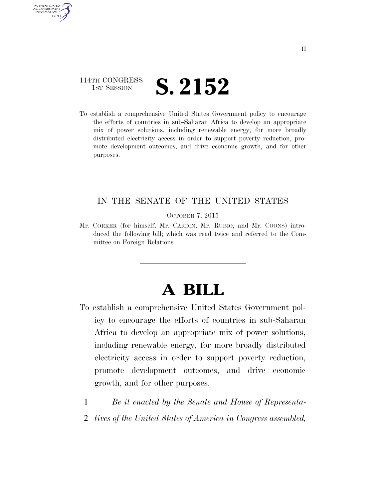### 114TH CONGRESS **1st Session S. 2152**

AUTHENTICATED U.S. GOVERNMENT GPO

> To establish a comprehensive United States Government policy to encourage the efforts of countries in sub-Saharan Africa to develop an appropriate mix of power solutions, including renewable energy, for more broadly distributed electricity access in order to support poverty reduction, promote development outcomes, and drive economic growth, and for other purposes.

#### IN THE SENATE OF THE UNITED STATES

OCTOBER 7, 2015

Mr. CORKER (for himself, Mr. CARDIN, Mr. RUBIO, and Mr. COONS) introduced the following bill; which was read twice and referred to the Committee on Foreign Relations

# **A BILL**

- To establish a comprehensive United States Government policy to encourage the efforts of countries in sub-Saharan Africa to develop an appropriate mix of power solutions, including renewable energy, for more broadly distributed electricity access in order to support poverty reduction, promote development outcomes, and drive economic growth, and for other purposes.
	- 1 *Be it enacted by the Senate and House of Representa-*
	- 2 *tives of the United States of America in Congress assembled,*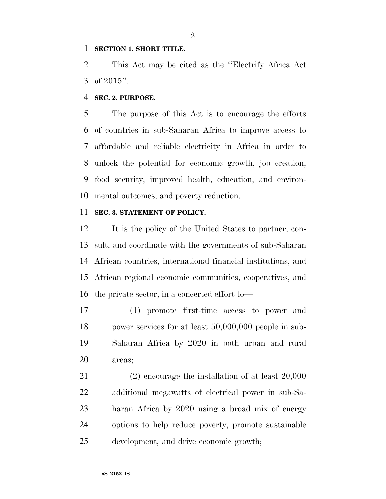#### **SECTION 1. SHORT TITLE.**

 This Act may be cited as the ''Electrify Africa Act of 2015''.

#### **SEC. 2. PURPOSE.**

 The purpose of this Act is to encourage the efforts of countries in sub-Saharan Africa to improve access to affordable and reliable electricity in Africa in order to unlock the potential for economic growth, job creation, food security, improved health, education, and environ-mental outcomes, and poverty reduction.

#### **SEC. 3. STATEMENT OF POLICY.**

 It is the policy of the United States to partner, con- sult, and coordinate with the governments of sub-Saharan African countries, international financial institutions, and African regional economic communities, cooperatives, and the private sector, in a concerted effort to—

 (1) promote first-time access to power and power services for at least 50,000,000 people in sub- Saharan Africa by 2020 in both urban and rural areas;

 (2) encourage the installation of at least 20,000 additional megawatts of electrical power in sub-Sa- haran Africa by 2020 using a broad mix of energy options to help reduce poverty, promote sustainable development, and drive economic growth;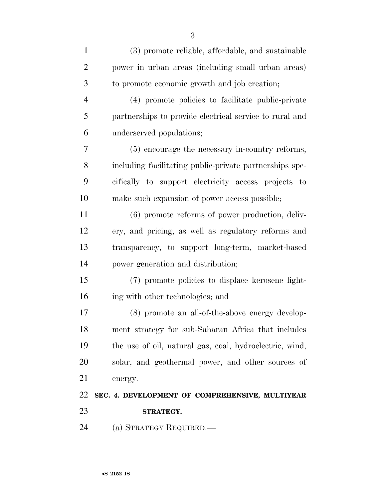| $\mathbf{1}$   | (3) promote reliable, affordable, and sustainable       |
|----------------|---------------------------------------------------------|
| $\overline{2}$ | power in urban areas (including small urban areas)      |
| 3              | to promote economic growth and job creation;            |
| $\overline{4}$ | (4) promote policies to facilitate public-private       |
| 5              | partnerships to provide electrical service to rural and |
| 6              | underserved populations;                                |
| 7              | (5) encourage the necessary in-country reforms,         |
| 8              | including facilitating public-private partnerships spe- |
| 9              | cifically to support electricity access projects to     |
| 10             | make such expansion of power access possible;           |
| 11             | (6) promote reforms of power production, deliv-         |
| 12             | ery, and pricing, as well as regulatory reforms and     |
| 13             | transparency, to support long-term, market-based        |
| 14             | power generation and distribution;                      |
| 15             | (7) promote policies to displace kerosene light-        |
| 16             | ing with other technologies; and                        |
| 17             | (8) promote an all-of-the-above energy develop-         |
| 18             | ment strategy for sub-Saharan Africa that includes      |
| 19             | the use of oil, natural gas, coal, hydroelectric, wind, |
| 20             | solar, and geothermal power, and other sources of       |
| 21             | energy.                                                 |
| 22             | SEC. 4. DEVELOPMENT OF COMPREHENSIVE, MULTIYEAR         |
| 23             | STRATEGY.                                               |
| 24             | (a) STRATEGY REQUIRED.—                                 |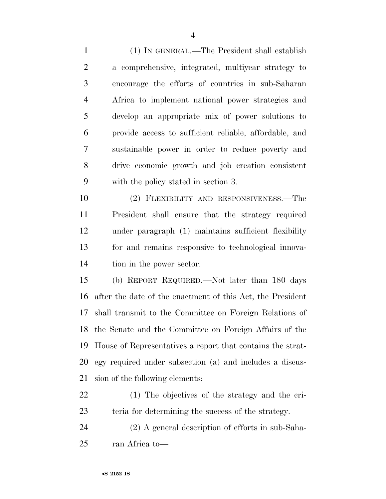(1) IN GENERAL.—The President shall establish a comprehensive, integrated, multiyear strategy to encourage the efforts of countries in sub-Saharan Africa to implement national power strategies and develop an appropriate mix of power solutions to provide access to sufficient reliable, affordable, and sustainable power in order to reduce poverty and drive economic growth and job creation consistent with the policy stated in section 3.

 (2) FLEXIBILITY AND RESPONSIVENESS.—The President shall ensure that the strategy required under paragraph (1) maintains sufficient flexibility for and remains responsive to technological innova-tion in the power sector.

 (b) REPORT REQUIRED.—Not later than 180 days after the date of the enactment of this Act, the President shall transmit to the Committee on Foreign Relations of the Senate and the Committee on Foreign Affairs of the House of Representatives a report that contains the strat- egy required under subsection (a) and includes a discus-sion of the following elements:

 (1) The objectives of the strategy and the cri-teria for determining the success of the strategy.

 (2) A general description of efforts in sub-Saha-ran Africa to—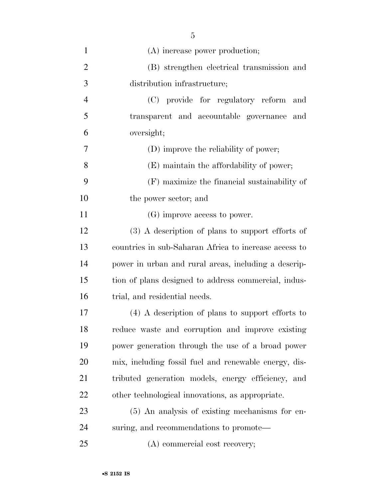| (A) increase power production;                        |
|-------------------------------------------------------|
| (B) strengthen electrical transmission and            |
| distribution infrastructure;                          |
| (C) provide for regulatory reform and                 |
| transparent and accountable governance and            |
| oversight;                                            |
| (D) improve the reliability of power;                 |
| (E) maintain the affordability of power;              |
| $(F)$ maximize the financial sustainability of        |
| the power sector; and                                 |
| $(G)$ improve access to power.                        |
| $(3)$ A description of plans to support efforts of    |
| countries in sub-Saharan Africa to increase access to |
| power in urban and rural areas, including a descrip-  |
| tion of plans designed to address commercial, indus-  |
| trial, and residential needs.                         |
| $(4)$ A description of plans to support efforts to    |
| reduce waste and corruption and improve existing      |
| power generation through the use of a broad power     |
| mix, including fossil fuel and renewable energy, dis- |
| tributed generation models, energy efficiency, and    |
| other technological innovations, as appropriate.      |
| (5) An analysis of existing mechanisms for en-        |
| suring, and recommendations to promote—               |
| (A) commercial cost recovery;                         |
|                                                       |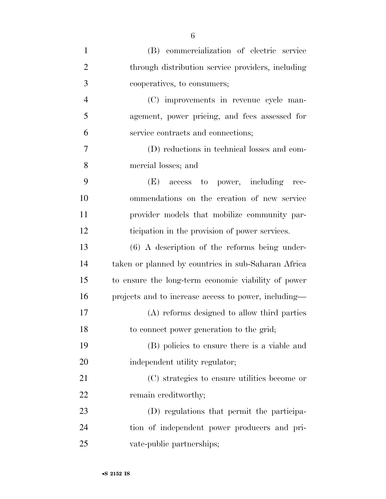| $\mathbf{1}$   | (B) commercialization of electric service            |
|----------------|------------------------------------------------------|
| $\overline{2}$ | through distribution service providers, including    |
| 3              | cooperatives, to consumers;                          |
| $\overline{4}$ | (C) improvements in revenue cycle man-               |
| 5              | agement, power pricing, and fees assessed for        |
| 6              | service contracts and connections;                   |
| 7              | (D) reductions in technical losses and com-          |
| 8              | mercial losses; and                                  |
| 9              | (E) access to power, including<br>-rec-              |
| 10             | ommendations on the creation of new service          |
| 11             | provider models that mobilize community par-         |
| 12             | ticipation in the provision of power services.       |
| 13             | $(6)$ A description of the reforms being under-      |
| 14             | taken or planned by countries in sub-Saharan Africa  |
| 15             | to ensure the long-term economic viability of power  |
| 16             | projects and to increase access to power, including— |
| 17             | (A) reforms designed to allow third parties          |
| 18             | to connect power generation to the grid;             |
| 19             | (B) policies to ensure there is a viable and         |
| 20             | independent utility regulator;                       |
| 21             | (C) strategies to ensure utilities become or         |
| 22             | remain creditworthy;                                 |
| 23             | (D) regulations that permit the participa-           |
| 24             | tion of independent power producers and pri-         |
| 25             | vate-public partnerships;                            |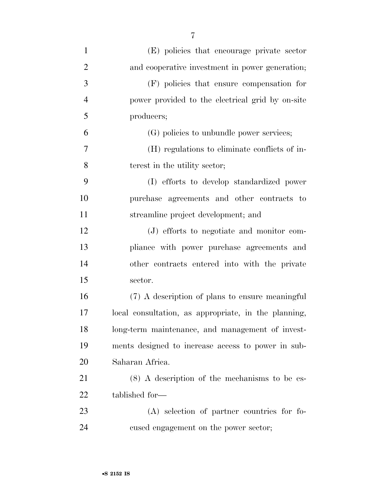| $\mathbf{1}$   | (E) policies that encourage private sector           |
|----------------|------------------------------------------------------|
| $\overline{2}$ | and cooperative investment in power generation;      |
| 3              | (F) policies that ensure compensation for            |
| $\overline{4}$ | power provided to the electrical grid by on-site     |
| 5              | producers;                                           |
| 6              | (G) policies to unbundle power services;             |
| $\overline{7}$ | (H) regulations to eliminate conflicts of in-        |
| 8              | terest in the utility sector;                        |
| 9              | (I) efforts to develop standardized power            |
| 10             | purchase agreements and other contracts to           |
| 11             | streamline project development; and                  |
| 12             | (J) efforts to negotiate and monitor com-            |
| 13             | pliance with power purchase agreements and           |
| 14             | other contracts entered into with the private        |
| 15             | sector.                                              |
| 16             | (7) A description of plans to ensure meaningful      |
| 17             | local consultation, as appropriate, in the planning, |
| 18             | long-term maintenance, and management of invest-     |
| 19             | ments designed to increase access to power in sub-   |
| 20             | Saharan Africa.                                      |
| 21             | $(8)$ A description of the mechanisms to be es-      |
| 22             | tablished for—                                       |
| 23             | $(A)$ selection of partner countries for fo-         |
| 24             | cused engagement on the power sector;                |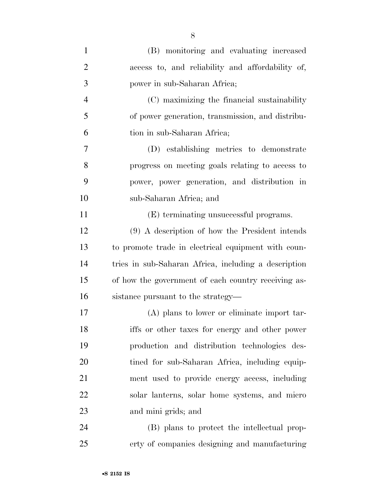| $\mathbf{1}$   | (B) monitoring and evaluating increased              |
|----------------|------------------------------------------------------|
| $\overline{2}$ | access to, and reliability and affordability of,     |
| 3              | power in sub-Saharan Africa;                         |
| $\overline{4}$ | (C) maximizing the financial sustainability          |
| 5              | of power generation, transmission, and distribu-     |
| 6              | tion in sub-Saharan Africa;                          |
| $\overline{7}$ | (D) establishing metrics to demonstrate              |
| 8              | progress on meeting goals relating to access to      |
| 9              | power, power generation, and distribution in         |
| 10             | sub-Saharan Africa; and                              |
| 11             | (E) terminating unsuccessful programs.               |
| 12             | (9) A description of how the President intends       |
| 13             | to promote trade in electrical equipment with coun-  |
| 14             | tries in sub-Saharan Africa, including a description |
| 15             | of how the government of each country receiving as-  |
| 16             | sistance pursuant to the strategy—                   |
| 17             | (A) plans to lower or eliminate import tar-          |
| 18             | iffs or other taxes for energy and other power       |
| 19             | production and distribution technologies des-        |
| 20             | tined for sub-Saharan Africa, including equip-       |
| 21             | ment used to provide energy access, including        |
| 22             | solar lanterns, solar home systems, and micro        |
| 23             | and mini grids; and                                  |
| 24             | (B) plans to protect the intellectual prop-          |
| 25             | erty of companies designing and manufacturing        |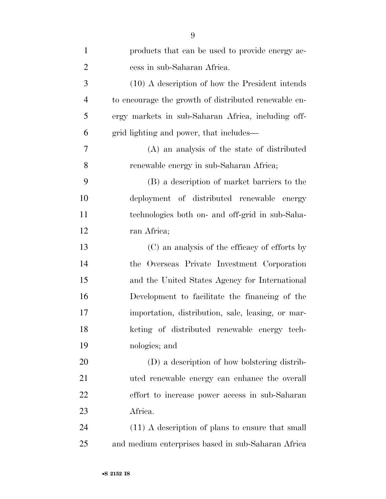| $\mathbf{1}$   | products that can be used to provide energy ac-      |
|----------------|------------------------------------------------------|
| $\overline{2}$ | cess in sub-Saharan Africa.                          |
| 3              | $(10)$ A description of how the President intends    |
| $\overline{4}$ | to encourage the growth of distributed renewable en- |
| 5              | ergy markets in sub-Saharan Africa, including off-   |
| 6              | grid lighting and power, that includes—              |
| 7              | (A) an analysis of the state of distributed          |
| 8              | renewable energy in sub-Saharan Africa;              |
| 9              | (B) a description of market barriers to the          |
| 10             | deployment of distributed renewable energy           |
| 11             | technologies both on- and off-grid in sub-Saha-      |
| 12             | ran Africa;                                          |
| 13             | (C) an analysis of the efficacy of efforts by        |
| 14             | the Overseas Private Investment Corporation          |
| 15             | and the United States Agency for International       |
| 16             | Development to facilitate the financing of the       |
| 17             | importation, distribution, sale, leasing, or mar-    |
| 18             | keting of distributed renewable energy tech-         |
| 19             | nologies; and                                        |
| 20             | (D) a description of how bolstering distrib-         |
| 21             | uted renewable energy can enhance the overall        |
| 22             | effort to increase power access in sub-Saharan       |
| 23             | Africa.                                              |
| 24             | (11) A description of plans to ensure that small     |
| 25             | and medium enterprises based in sub-Saharan Africa   |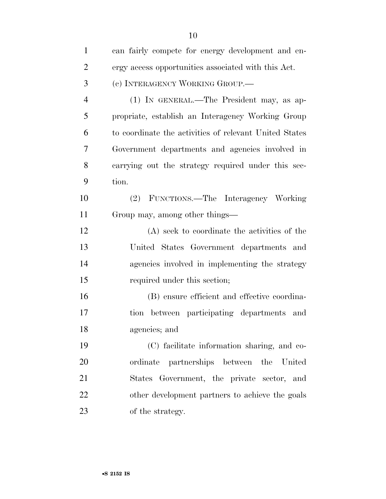| $\mathbf{1}$   | can fairly compete for energy development and en-      |
|----------------|--------------------------------------------------------|
| $\overline{2}$ | ergy access opportunities associated with this Act.    |
| 3              | (c) INTERAGENCY WORKING GROUP.—                        |
| $\overline{4}$ | (1) IN GENERAL.—The President may, as ap-              |
| 5              | propriate, establish an Interagency Working Group      |
| 6              | to coordinate the activities of relevant United States |
| 7              | Government departments and agencies involved in        |
| 8              | carrying out the strategy required under this sec-     |
| 9              | tion.                                                  |
| 10             | (2) FUNCTIONS.—The Interagency Working                 |
| 11             | Group may, among other things—                         |
| 12             | (A) seek to coordinate the activities of the           |
| 13             | United States Government departments and               |
| 14             | agencies involved in implementing the strategy         |
| 15             | required under this section;                           |
| 16             | (B) ensure efficient and effective coordina-           |
| 17             | tion between participating departments and             |
| 18             | agencies; and                                          |
| 19             | (C) facilitate information sharing, and co-            |
| 20             | partnerships between the United<br>ordinate            |
| 21             | Government, the private sector, and<br>States          |
| 22             | other development partners to achieve the goals        |
| 23             | of the strategy.                                       |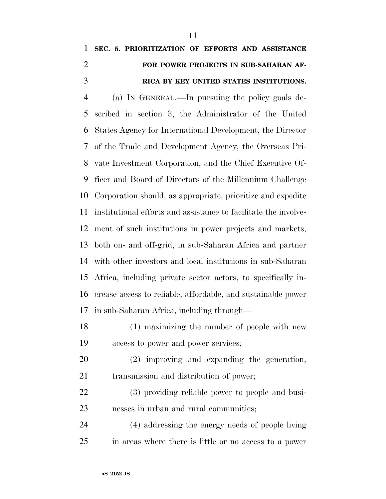## **SEC. 5. PRIORITIZATION OF EFFORTS AND ASSISTANCE FOR POWER PROJECTS IN SUB-SAHARAN AF-RICA BY KEY UNITED STATES INSTITUTIONS.**

 (a) IN GENERAL.—In pursuing the policy goals de- scribed in section 3, the Administrator of the United States Agency for International Development, the Director of the Trade and Development Agency, the Overseas Pri- vate Investment Corporation, and the Chief Executive Of- ficer and Board of Directors of the Millennium Challenge Corporation should, as appropriate, prioritize and expedite institutional efforts and assistance to facilitate the involve- ment of such institutions in power projects and markets, both on- and off-grid, in sub-Saharan Africa and partner with other investors and local institutions in sub-Saharan Africa, including private sector actors, to specifically in- crease access to reliable, affordable, and sustainable power in sub-Saharan Africa, including through—

- (1) maximizing the number of people with new access to power and power services;
- (2) improving and expanding the generation, transmission and distribution of power;
- (3) providing reliable power to people and busi-nesses in urban and rural communities;

 (4) addressing the energy needs of people living in areas where there is little or no access to a power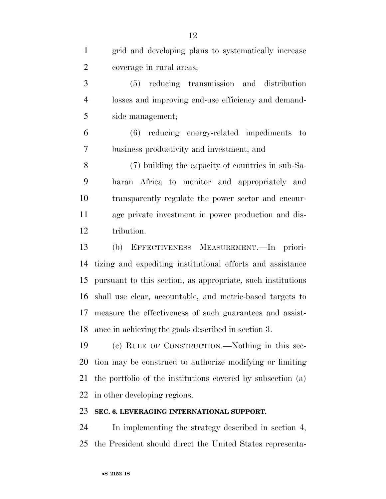| $\mathbf{1}$   | grid and developing plans to systematically increase        |
|----------------|-------------------------------------------------------------|
| $\overline{2}$ | coverage in rural areas;                                    |
| 3              | (5) reducing transmission and distribution                  |
| $\overline{4}$ | losses and improving end-use efficiency and demand-         |
| 5              | side management;                                            |
| 6              | reducing energy-related impediments to<br>(6)               |
| 7              | business productivity and investment; and                   |
| 8              | (7) building the capacity of countries in sub-Sa-           |
| 9              | haran Africa to monitor and appropriately and               |
| 10             | transparently regulate the power sector and encour-         |
| 11             | age private investment in power production and dis-         |
| 12             | tribution.                                                  |
| 13             | EFFECTIVENESS MEASUREMENT. In priori-<br>(b)                |
| 14             | tizing and expediting institutional efforts and assistance  |
| 15             | pursuant to this section, as appropriate, such institutions |
| 16             | shall use clear, accountable, and metric-based targets to   |
| 17             | measure the effectiveness of such guarantees and assist-    |
| 18             | ance in achieving the goals described in section 3.         |
| 19             | (c) RULE OF CONSTRUCTION.—Nothing in this sec-              |
| <b>20</b>      | tion may be construed to authorize modifying or limiting    |
| 21             | the portfolio of the institutions covered by subsection (a) |
|                |                                                             |
| 22             | in other developing regions.                                |
| 23             | SEC. 6. LEVERAGING INTERNATIONAL SUPPORT.                   |

the President should direct the United States representa-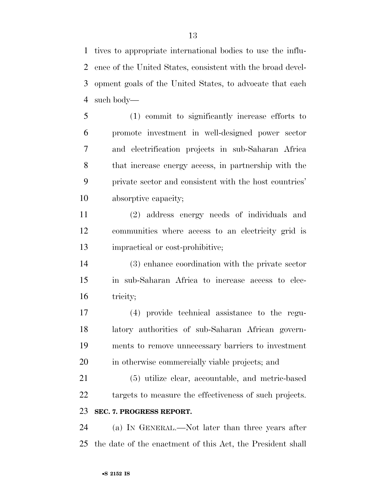tives to appropriate international bodies to use the influ- ence of the United States, consistent with the broad devel- opment goals of the United States, to advocate that each such body—

 (1) commit to significantly increase efforts to promote investment in well-designed power sector and electrification projects in sub-Saharan Africa that increase energy access, in partnership with the private sector and consistent with the host countries' absorptive capacity;

 (2) address energy needs of individuals and communities where access to an electricity grid is impractical or cost-prohibitive;

 (3) enhance coordination with the private sector in sub-Saharan Africa to increase access to elec-tricity;

 (4) provide technical assistance to the regu- latory authorities of sub-Saharan African govern- ments to remove unnecessary barriers to investment in otherwise commercially viable projects; and

 (5) utilize clear, accountable, and metric-based 22 targets to measure the effectiveness of such projects. **SEC. 7. PROGRESS REPORT.** 

 (a) IN GENERAL.—Not later than three years after the date of the enactment of this Act, the President shall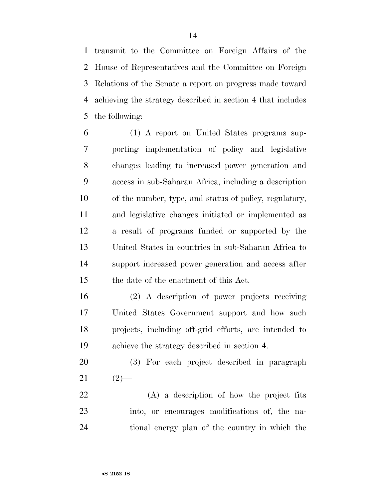transmit to the Committee on Foreign Affairs of the House of Representatives and the Committee on Foreign Relations of the Senate a report on progress made toward achieving the strategy described in section 4 that includes the following:

 (1) A report on United States programs sup- porting implementation of policy and legislative changes leading to increased power generation and access in sub-Saharan Africa, including a description of the number, type, and status of policy, regulatory, and legislative changes initiated or implemented as a result of programs funded or supported by the United States in countries in sub-Saharan Africa to support increased power generation and access after the date of the enactment of this Act.

 (2) A description of power projects receiving United States Government support and how such projects, including off-grid efforts, are intended to achieve the strategy described in section 4.

 (3) For each project described in paragraph (2) —

 (A) a description of how the project fits into, or encourages modifications of, the na-tional energy plan of the country in which the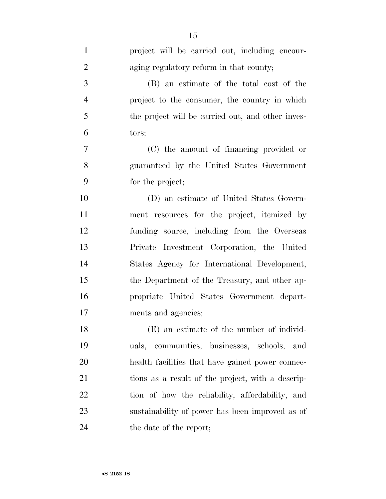| $\mathbf{1}$   | project will be carried out, including encour-    |
|----------------|---------------------------------------------------|
| $\overline{2}$ | aging regulatory reform in that county;           |
| 3              | (B) an estimate of the total cost of the          |
| $\overline{4}$ | project to the consumer, the country in which     |
| 5              | the project will be carried out, and other inves- |
| 6              | tors;                                             |
| $\tau$         | (C) the amount of financing provided or           |
| 8              | guaranteed by the United States Government        |
| 9              | for the project;                                  |
| 10             | (D) an estimate of United States Govern-          |
| 11             | ment resources for the project, itemized by       |
| 12             | funding source, including from the Overseas       |
| 13             | Private Investment Corporation, the United        |
| 14             | States Agency for International Development,      |
| 15             | the Department of the Treasury, and other ap-     |
| 16             | propriate United States Government depart-        |
| 17             | ments and agencies;                               |
| 18             | (E) an estimate of the number of individ-         |
| 19             | uals, communities, businesses, schools, and       |
| 20             | health facilities that have gained power connec-  |
| 21             | tions as a result of the project, with a descrip- |
| 22             | tion of how the reliability, affordability, and   |
| 23             | sustainability of power has been improved as of   |
| 24             | the date of the report;                           |